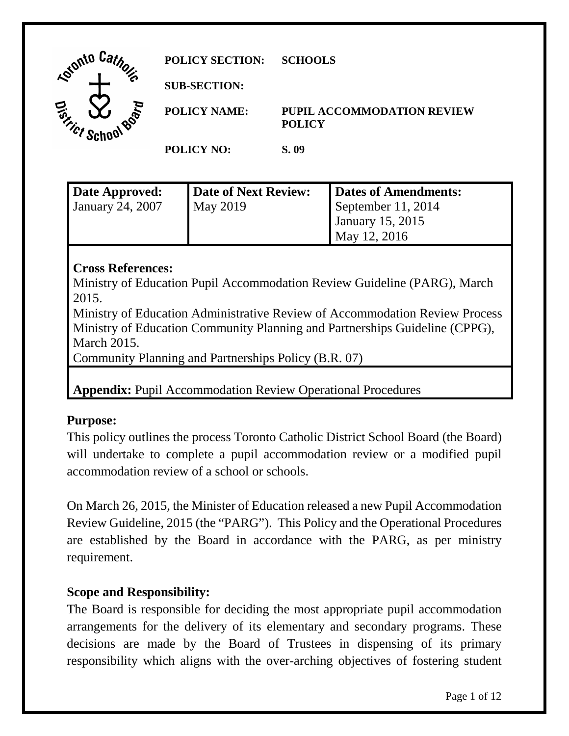| Car<br><b>Lointo</b> '    | <b>POLICY SECTION:</b> | <b>SCHOOLS</b>                                     |
|---------------------------|------------------------|----------------------------------------------------|
| Z.                        | <b>SUB-SECTION:</b>    |                                                    |
| BOOK<br>Tict <sup>r</sup> | <b>POLICY NAME:</b>    | <b>PUPIL ACCOMMODATION REVIEW</b><br><b>POLICY</b> |
|                           | <b>POLICY NO:</b>      | S. 09                                              |

| Date Approved:          | Date of Next Review: | Dates of Amendments:    |
|-------------------------|----------------------|-------------------------|
| <b>January 24, 2007</b> | <b>May 2019</b>      | September 11, 2014      |
|                         |                      | <b>January 15, 2015</b> |
|                         |                      | May 12, 2016            |

# **Cross References:**

Ministry of Education Pupil Accommodation Review Guideline (PARG), March 2015.

Ministry of Education Administrative Review of Accommodation Review Process Ministry of Education Community Planning and Partnerships Guideline (CPPG), March 2015.

Community Planning and Partnerships Policy (B.R. 07)

**Appendix:** Pupil Accommodation Review Operational Procedures

## **Purpose:**

This policy outlines the process Toronto Catholic District School Board (the Board) will undertake to complete a pupil accommodation review or a modified pupil accommodation review of a school or schools.

 are established by the Board in accordance with the PARG, as per ministry On March 26, 2015, the Minister of Education released a new Pupil Accommodation Review Guideline, 2015 (the "PARG"). This Policy and the Operational Procedures requirement.

## **Scope and Responsibility:**

The Board is responsible for deciding the most appropriate pupil accommodation arrangements for the delivery of its elementary and secondary programs. These decisions are made by the Board of Trustees in dispensing of its primary responsibility which aligns with the over-arching objectives of fostering student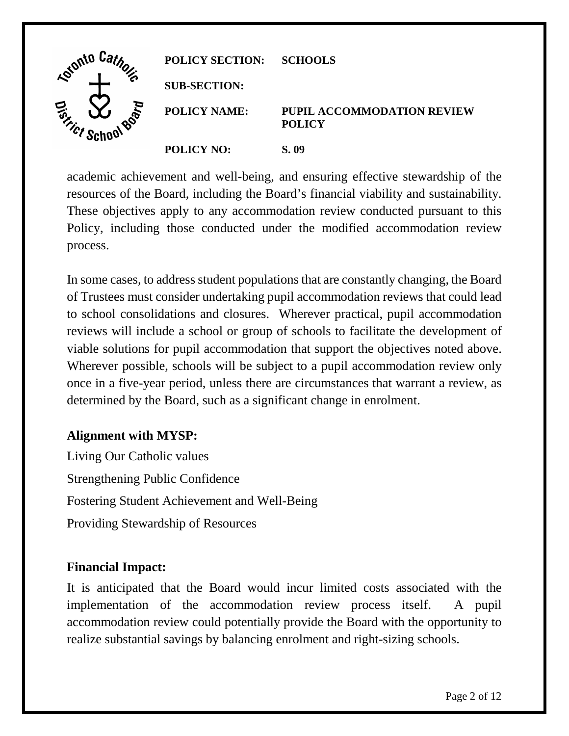| Gionto Ca. | <b>POLICY SECTION:</b> | <b>SCHOOLS</b>                                     |
|------------|------------------------|----------------------------------------------------|
| О          | <b>SUB-SECTION:</b>    |                                                    |
| BOOT       | <b>POLICY NAME:</b>    | <b>PUPIL ACCOMMODATION REVIEW</b><br><b>POLICY</b> |
|            | <b>POLICY NO:</b>      | S. 09                                              |

academic achievement and well-being, and ensuring effective stewardship of the resources of the Board, including the Board's financial viability and sustainability. These objectives apply to any accommodation review conducted pursuant to this Policy, including those conducted under the modified accommodation review process.

 In some cases, to address student populations that are constantly changing, the Board viable solutions for pupil accommodation that support the objectives noted above. viable solutions for pupil accommodation that support the objectives noted above. Wherever possible, schools will be subject to a pupil accommodation review only determined by the Board, such as a significant change in enrolment. of Trustees must consider undertaking pupil accommodation reviews that could lead to school consolidations and closures. Wherever practical, pupil accommodation reviews will include a school or group of schools to facilitate the development of once in a five-year period, unless there are circumstances that warrant a review, as

# **Alignment with MYSP:**

Living Our Catholic values Strengthening Public Confidence Fostering Student Achievement and Well-Being Providing Stewardship of Resources

## **Financial Impact:**

realize substantial savings by balancing enrolment and right-sizing schools.<br>Page 2 of 12 It is anticipated that the Board would incur limited costs associated with the implementation of the accommodation review process itself. A pupil accommodation review could potentially provide the Board with the opportunity to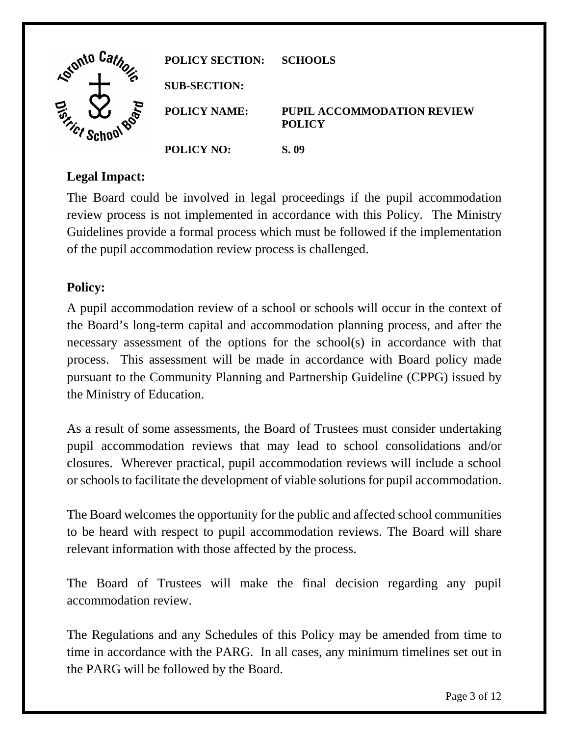| Lotonto Ca.          | <b>POLICY SECTION:</b> | <b>SCHOOLS</b>                                     |
|----------------------|------------------------|----------------------------------------------------|
| ъ                    | <b>SUB-SECTION:</b>    |                                                    |
| BOP<br><b>SITICS</b> | <b>POLICY NAME:</b>    | <b>PUPIL ACCOMMODATION REVIEW</b><br><b>POLICY</b> |
|                      | <b>POLICY NO:</b>      | S. 09                                              |

## **Legal Impact:**

The Board could be involved in legal proceedings if the pupil accommodation review process is not implemented in accordance with this Policy. The Ministry Guidelines provide a formal process which must be followed if the implementation of the pupil accommodation review process is challenged.

# **Policy:**

 process. This assessment will be made in accordance with Board policy made the Ministry of Education. A pupil accommodation review of a school or schools will occur in the context of the Board's long-term capital and accommodation planning process, and after the necessary assessment of the options for the school(s) in accordance with that pursuant to the Community Planning and Partnership Guideline (CPPG) issued by

 closures. Wherever practical, pupil accommodation reviews will include a school or schools to facilitate the development of viable solutions for pupil accommodation. As a result of some assessments, the Board of Trustees must consider undertaking pupil accommodation reviews that may lead to school consolidations and/or

The Board welcomes the opportunity for the public and affected school communities to be heard with respect to pupil accommodation reviews. The Board will share relevant information with those affected by the process.

The Board of Trustees will make the final decision regarding any pupil accommodation review.

 time in accordance with the PARG. In all cases, any minimum timelines set out in The Regulations and any Schedules of this Policy may be amended from time to the PARG will be followed by the Board.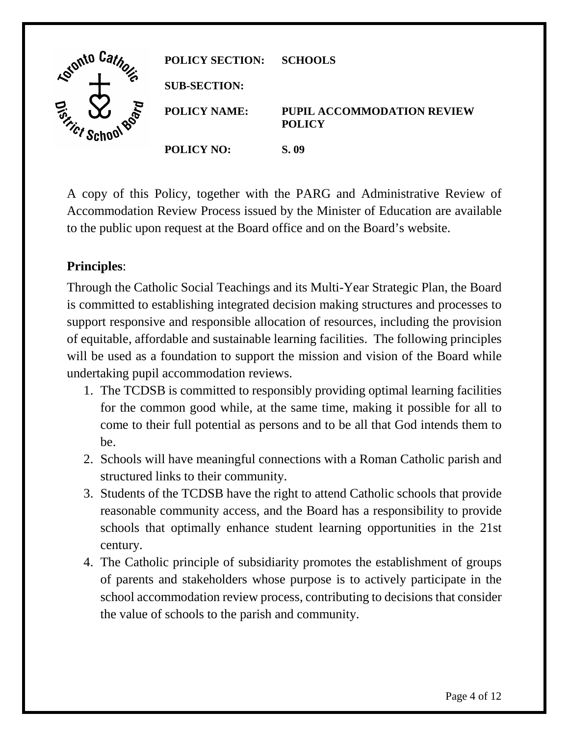| Loighto La.                                           | <b>POLICY SECTION:</b> | <b>SCHOOLS</b>                                     |
|-------------------------------------------------------|------------------------|----------------------------------------------------|
| ′€                                                    | <b>SUB-SECTION:</b>    |                                                    |
| <b>BOO</b><br>$\mathcal{P}_{\mathcal{L}}$<br>$\alpha$ | <b>POLICY NAME:</b>    | <b>PUPIL ACCOMMODATION REVIEW</b><br><b>POLICY</b> |
|                                                       | <b>POLICY NO:</b>      | S. 09                                              |

 Accommodation Review Process issued by the Minister of Education are available A copy of this Policy, together with the PARG and Administrative Review of to the public upon request at the Board office and on the Board's website.

# **Principles**:

 Through the Catholic Social Teachings and its Multi-Year Strategic Plan, the Board is committed to establishing integrated decision making structures and processes to support responsive and responsible allocation of resources, including the provision of equitable, affordable and sustainable learning facilities. The following principles will be used as a foundation to support the mission and vision of the Board while undertaking pupil accommodation reviews.

- for the common good while, at the same time, making it possible for all to 1. The TCDSB is committed to responsibly providing optimal learning facilities come to their full potential as persons and to be all that God intends them to be.
- 2. Schools will have meaningful connections with a Roman Catholic parish and structured links to their community.
- schools that optimally enhance student learning opportunities in the 21st 3. Students of the TCDSB have the right to attend Catholic schools that provide reasonable community access, and the Board has a responsibility to provide century.
- 4. The Catholic principle of subsidiarity promotes the establishment of groups of parents and stakeholders whose purpose is to actively participate in the the value of schools to the parish and community. school accommodation review process, contributing to decisions that consider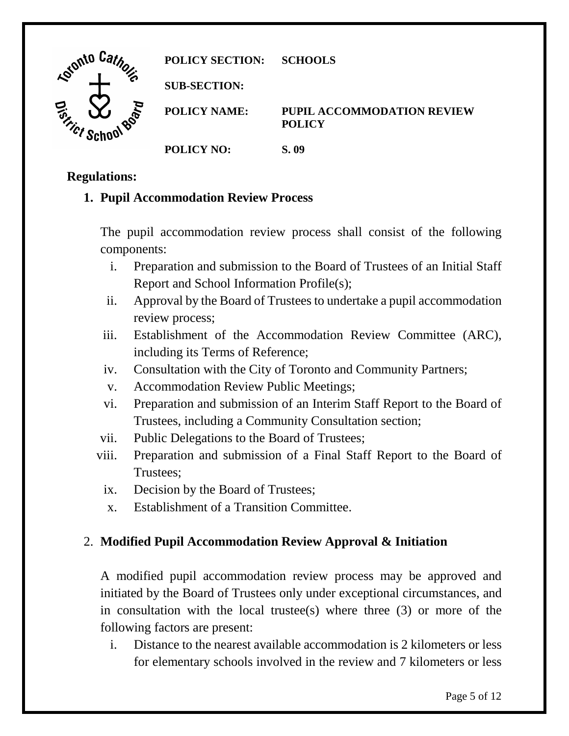

## **Regulations:**

# **1. Pupil Accommodation Review Process**

The pupil accommodation review process shall consist of the following components:

- i. Preparation and submission to the Board of Trustees of an Initial Staff Report and School Information Profile(s);
- ii. Approval by the Board of Trustees to undertake a pupil accommodation review process;
- iii. Establishment of the Accommodation Review Committee (ARC), including its Terms of Reference;
- iv. Consultation with the City of Toronto and Community Partners;
- v. Accommodation Review Public Meetings;
- vi. Preparation and submission of an Interim Staff Report to the Board of Trustees, including a Community Consultation section;
- vii. Public Delegations to the Board of Trustees;
- viii. Preparation and submission of a Final Staff Report to the Board of Trustees;
- ix. Decision by the Board of Trustees;
- x. Establishment of a Transition Committee.

# 2. **Modified Pupil Accommodation Review Approval & Initiation**

A modified pupil accommodation review process may be approved and initiated by the Board of Trustees only under exceptional circumstances, and in consultation with the local trustee(s) where three  $(3)$  or more of the following factors are present:

 i. Distance to the nearest available accommodation is 2 kilometers or less for elementary schools involved in the review and 7 kilometers or less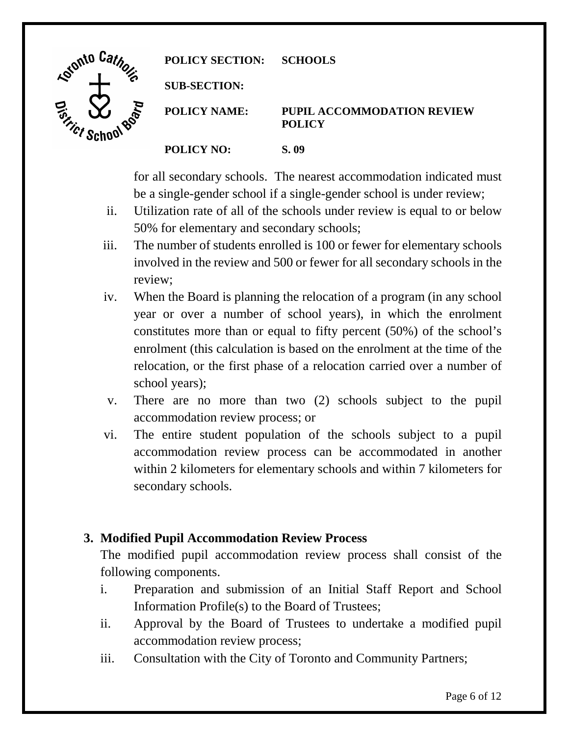| Letonto Car                       | <b>POLICY SECTION:</b> | <b>SCHOOLS</b>                                     |
|-----------------------------------|------------------------|----------------------------------------------------|
|                                   | <b>SUB-SECTION:</b>    |                                                    |
| <u>ငွ</u><br>ROP<br>$\gamma_{Cf}$ | <b>POLICY NAME:</b>    | <b>PUPIL ACCOMMODATION REVIEW</b><br><b>POLICY</b> |
|                                   | <b>POLICY NO:</b>      | S. 09                                              |

for all secondary schools. The nearest accommodation indicated must be a single-gender school if a single-gender school is under review;

- ii. Utilization rate of all of the schools under review is equal to or below 50% for elementary and secondary schools;
- iii. The number of students enrolled is 100 or fewer for elementary schools involved in the review and 500 or fewer for all secondary schools in the review;
- iv. When the Board is planning the relocation of a program (in any school year or over a number of school years), in which the enrolment enrolment (this calculation is based on the enrolment at the time of the constitutes more than or equal to fifty percent (50%) of the school's relocation, or the first phase of a relocation carried over a number of school years);
- v. There are no more than two (2) schools subject to the pupil accommodation review process; or
- vi. The entire student population of the schools subject to a pupil accommodation review process can be accommodated in another within 2 kilometers for elementary schools and within 7 kilometers for secondary schools.

# **3. Modified Pupil Accommodation Review Process**

The modified pupil accommodation review process shall consist of the following components.

- i. Preparation and submission of an Initial Staff Report and School Information Profile(s) to the Board of Trustees;
- ii. Approval by the Board of Trustees to undertake a modified pupil accommodation review process;
- iii. Consultation with the City of Toronto and Community Partners;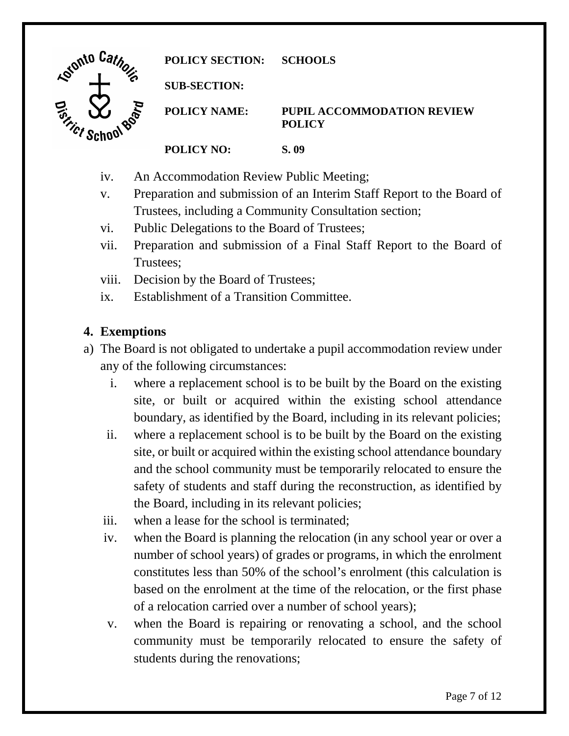

- iv. An Accommodation Review Public Meeting;
- Preparation and submission of an Interim Staff Report to the Board of v. Trustees, including a Community Consultation section;
- vi. Public Delegations to the Board of Trustees;
- vii. Preparation and submission of a Final Staff Report to the Board of Trustees;
- viii. Decision by the Board of Trustees;
- ix. Establishment of a Transition Committee.

# **4. Exemptions**

- a) The Board is not obligated to undertake a pupil accommodation review under any of the following circumstances:
	- i. where a replacement school is to be built by the Board on the existing site, or built or acquired within the existing school attendance boundary, as identified by the Board, including in its relevant policies;
	- ii. where a replacement school is to be built by the Board on the existing site, or built or acquired within the existing school attendance boundary and the school community must be temporarily relocated to ensure the safety of students and staff during the reconstruction, as identified by the Board, including in its relevant policies;
	- iii. when a lease for the school is terminated;
	- iv. when the Board is planning the relocation (in any school year or over a number of school years) of grades or programs, in which the enrolment based on the enrolment at the time of the relocation, or the first phase of a relocation carried over a number of school years); constitutes less than 50% of the school's enrolment (this calculation is
	- community must be temporarily relocated to ensure the safety of v. when the Board is repairing or renovating a school, and the school students during the renovations;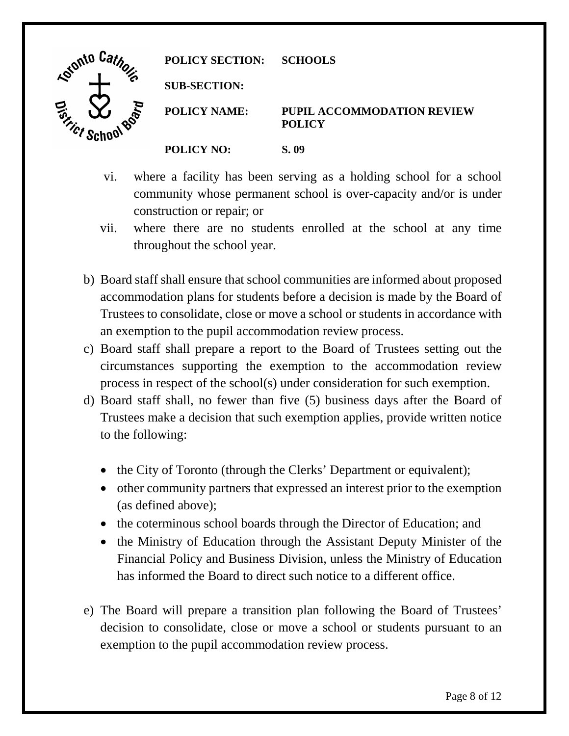| . Signto '                  | <b>POLICY SECTION:</b> | <b>SCHOOLS</b>                                     |
|-----------------------------|------------------------|----------------------------------------------------|
| ъ                           | <b>SUB-SECTION:</b>    |                                                    |
| Js. Si<br><b>BOO</b><br>101 | <b>POLICY NAME:</b>    | <b>PUPIL ACCOMMODATION REVIEW</b><br><b>POLICY</b> |
|                             | <b>POLICY NO:</b>      | S. 09                                              |

- vi. where a facility has been serving as a holding school for a school community whose permanent school is over-capacity and/or is under construction or repair; or
- vii. where there are no students enrolled at the school at any time throughout the school year.
- Trustees to consolidate, close or move a school or students in accordance with an exemption to the pupil accommodation review process. b) Board staff shall ensure that school communities are informed about proposed accommodation plans for students before a decision is made by the Board of
- c) Board staff shall prepare a report to the Board of Trustees setting out the circumstances supporting the exemption to the accommodation review process in respect of the school(s) under consideration for such exemption.
- d) Board staff shall, no fewer than five (5) business days after the Board of Trustees make a decision that such exemption applies, provide written notice to the following:
	- the City of Toronto (through the Clerks' Department or equivalent);
	- • other community partners that expressed an interest prior to the exemption (as defined above);
	- the coterminous school boards through the Director of Education; and
	- • the Ministry of Education through the Assistant Deputy Minister of the Financial Policy and Business Division, unless the Ministry of Education has informed the Board to direct such notice to a different office.
- decision to consolidate, close or move a school or students pursuant to an e) The Board will prepare a transition plan following the Board of Trustees' exemption to the pupil accommodation review process.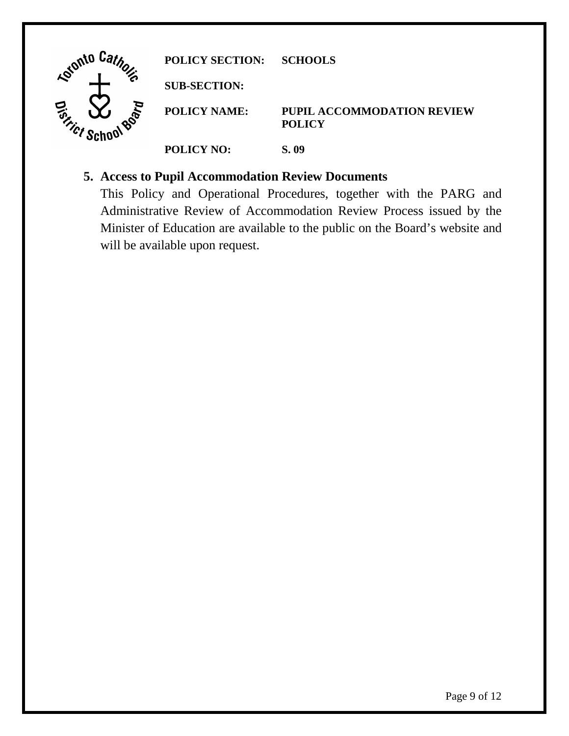| Gionto Ca. | <b>POLICY SECTION:</b> | <b>SCHOOLS</b>                                     |
|------------|------------------------|----------------------------------------------------|
| ъ          | <b>SUB-SECTION:</b>    |                                                    |
| BOP        | <b>POLICY NAME:</b>    | <b>PUPIL ACCOMMODATION REVIEW</b><br><b>POLICY</b> |
|            | <b>POLICY NO:</b>      | S. 09                                              |

# **5. Access to Pupil Accommodation Review Documents**

 Minister of Education are available to the public on the Board's website and This Policy and Operational Procedures, together with the PARG and Administrative Review of Accommodation Review Process issued by the will be available upon request.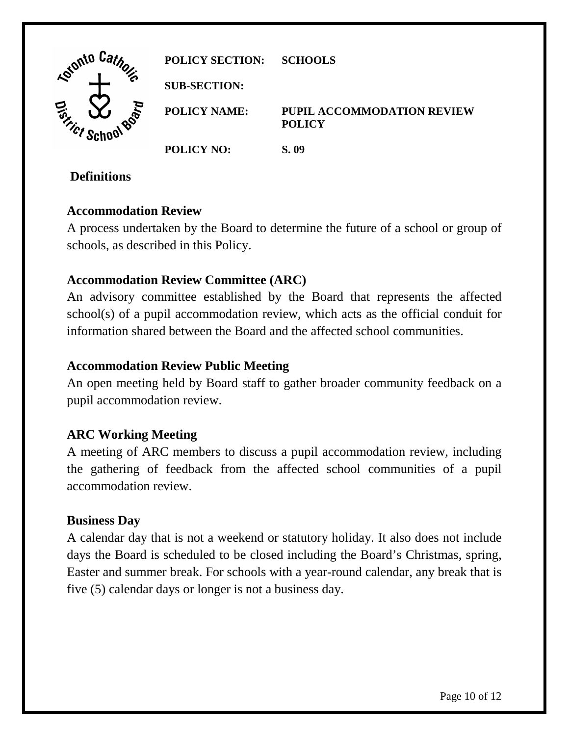| . Car<br><b>Kointo</b> '                                | <b>POLICY SECTION:</b> | <b>SCHOOLS</b>                                     |
|---------------------------------------------------------|------------------------|----------------------------------------------------|
|                                                         | <b>SUB-SECTION:</b>    |                                                    |
| RPP<br>$\boldsymbol{\Phi}$<br>$\gamma_{\mathcal{C}f}$ . | <b>POLICY NAME:</b>    | <b>PUPIL ACCOMMODATION REVIEW</b><br><b>POLICY</b> |
|                                                         | <b>POLICY NO:</b>      | S. 09                                              |

## **Definitions**

## **Accommodation Review**

A process undertaken by the Board to determine the future of a school or group of schools, as described in this Policy.

# **Accommodation Review Committee (ARC)**

 An advisory committee established by the Board that represents the affected school(s) of a pupil accommodation review, which acts as the official conduit for information shared between the Board and the affected school communities.

#### **Accommodation Review Public Meeting**

An open meeting held by Board staff to gather broader community feedback on a pupil accommodation review.

## **ARC Working Meeting**

 the gathering of feedback from the affected school communities of a pupil A meeting of ARC members to discuss a pupil accommodation review, including accommodation review.

## **Business Day**

 five (5) calendar days or longer is not a business day. A calendar day that is not a weekend or statutory holiday. It also does not include days the Board is scheduled to be closed including the Board's Christmas, spring, Easter and summer break. For schools with a year-round calendar, any break that is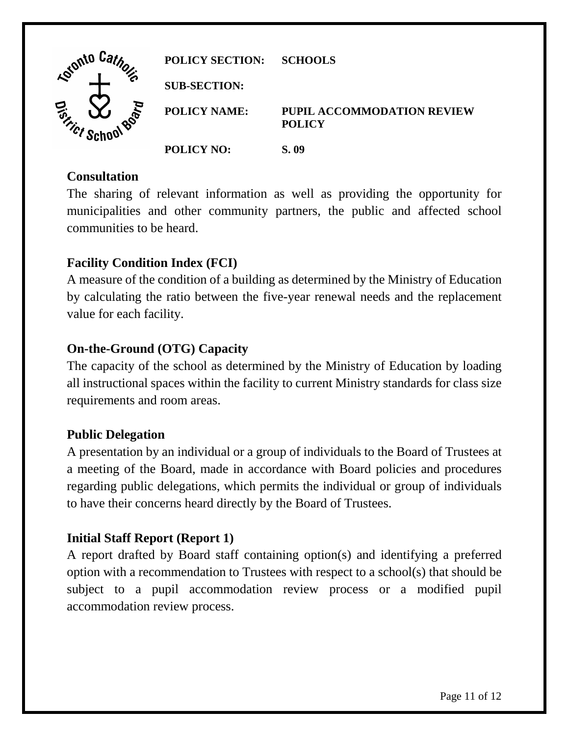| Lotonto La.    | <b>POLICY SECTION:</b> | <b>SCHOOLS</b>                                     |
|----------------|------------------------|----------------------------------------------------|
| a              | <b>SUB-SECTION:</b>    |                                                    |
| RPIE<br>Strict | <b>POLICY NAME:</b>    | <b>PUPIL ACCOMMODATION REVIEW</b><br><b>POLICY</b> |
|                | <b>POLICY NO:</b>      | S. 09                                              |

#### **Consultation**

The sharing of relevant information as well as providing the opportunity for municipalities and other community partners, the public and affected school communities to be heard.

# **Facility Condition Index (FCI)**

A measure of the condition of a building as determined by the Ministry of Education by calculating the ratio between the five-year renewal needs and the replacement value for each facility.

## **On-the-Ground (OTG) Capacity**

The capacity of the school as determined by the Ministry of Education by loading all instructional spaces within the facility to current Ministry standards for class size requirements and room areas.

## **Public Delegation**

 a meeting of the Board, made in accordance with Board policies and procedures A presentation by an individual or a group of individuals to the Board of Trustees at regarding public delegations, which permits the individual or group of individuals to have their concerns heard directly by the Board of Trustees.

## **Initial Staff Report (Report 1)**

 option with a recommendation to Trustees with respect to a school(s) that should be subject to a pupil accommodation review process or a modified pupil A report drafted by Board staff containing option(s) and identifying a preferred accommodation review process.